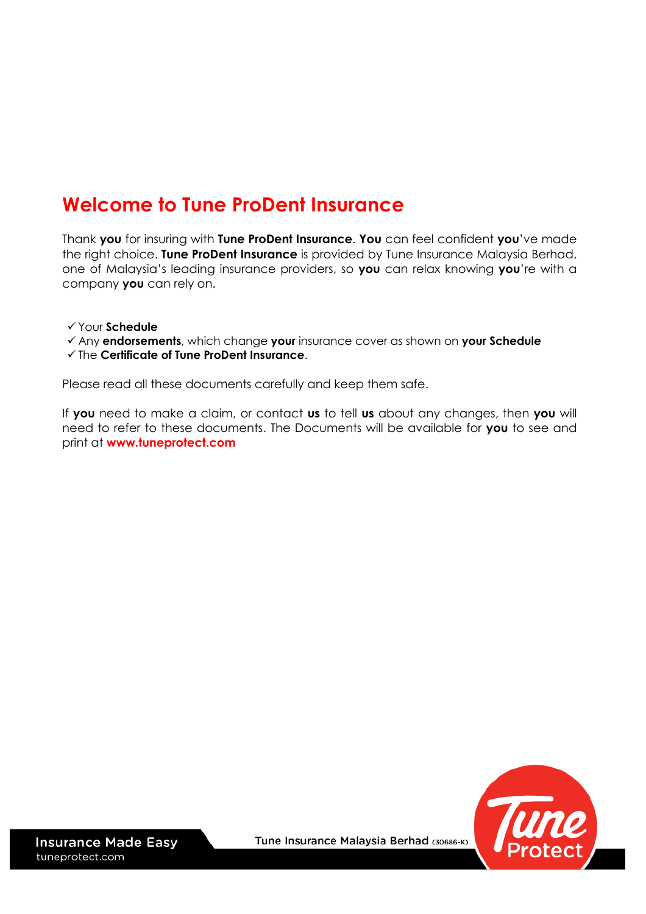# **Welcome to Tune ProDent Insurance**

Thank **you** for insuring with **Tune ProDent Insurance**. **You** can feel confident **you**'ve made the right choice. **Tune ProDent Insurance** is provided by Tune Insurance Malaysia Berhad, one of Malaysia's leading insurance providers, so **you** can relax knowing **you**'re with a company **you** can rely on.

- Your **Schedule**
- Any **endorsements**, which change **your** insurance cover as shown on **your Schedule**

#### The **Certificate of Tune ProDent Insurance**.

Please read all these documents carefully and keep them safe.

If **you** need to make a claim, or contact **us** to tell **us** about any changes, then **you** will need to refer to these documents. The Documents will be available for **you** to see and print at **[www.tuneprotect.com](http://www.tuneprotect.com/)**

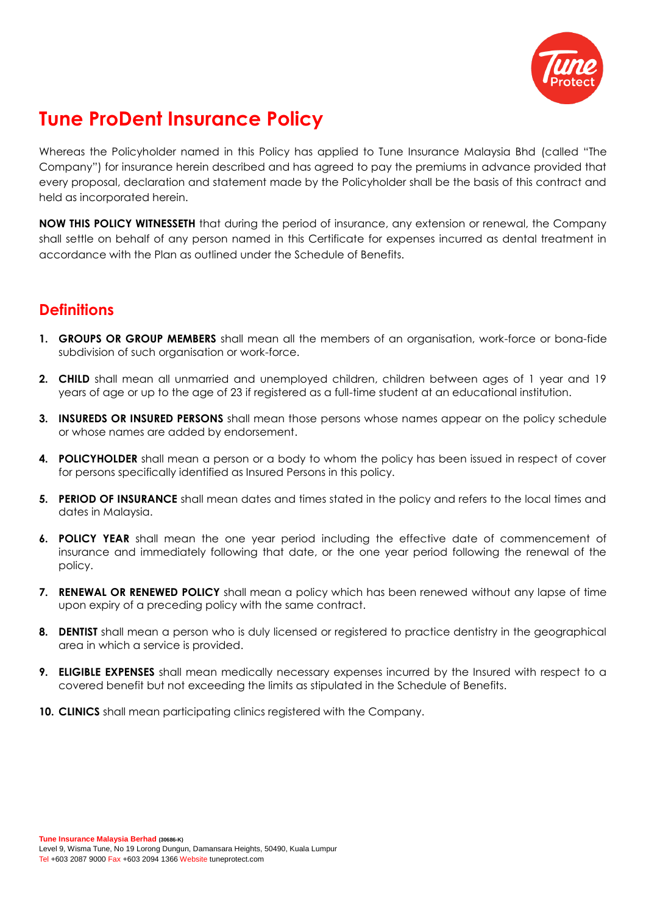

# **Tune ProDent Insurance Policy**

Whereas the Policyholder named in this Policy has applied to Tune Insurance Malaysia Bhd (called "The Company") for insurance herein described and has agreed to pay the premiums in advance provided that every proposal, declaration and statement made by the Policyholder shall be the basis of this contract and held as incorporated herein.

**NOW THIS POLICY WITNESSETH** that during the period of insurance, any extension or renewal, the Company shall settle on behalf of any person named in this Certificate for expenses incurred as dental treatment in accordance with the Plan as outlined under the Schedule of Benefits.

# **Definitions**

- **1. GROUPS OR GROUP MEMBERS** shall mean all the members of an organisation, work-force or bona-fide subdivision of such organisation or work-force.
- **2. CHILD** shall mean all unmarried and unemployed children, children between ages of 1 year and 19 years of age or up to the age of 23 if registered as a full-time student at an educational institution.
- **3. INSUREDS OR INSURED PERSONS** shall mean those persons whose names appear on the policy schedule or whose names are added by endorsement.
- **4. POLICYHOLDER** shall mean a person or a body to whom the policy has been issued in respect of cover for persons specifically identified as Insured Persons in this policy.
- **5. PERIOD OF INSURANCE** shall mean dates and times stated in the policy and refers to the local times and dates in Malaysia.
- **6. POLICY YEAR** shall mean the one year period including the effective date of commencement of insurance and immediately following that date, or the one year period following the renewal of the policy.
- **7. RENEWAL OR RENEWED POLICY** shall mean a policy which has been renewed without any lapse of time upon expiry of a preceding policy with the same contract.
- **8. DENTIST** shall mean a person who is duly licensed or registered to practice dentistry in the geographical area in which a service is provided.
- **9. ELIGIBLE EXPENSES** shall mean medically necessary expenses incurred by the Insured with respect to a covered benefit but not exceeding the limits as stipulated in the Schedule of Benefits.
- **10. CLINICS** shall mean participating clinics registered with the Company.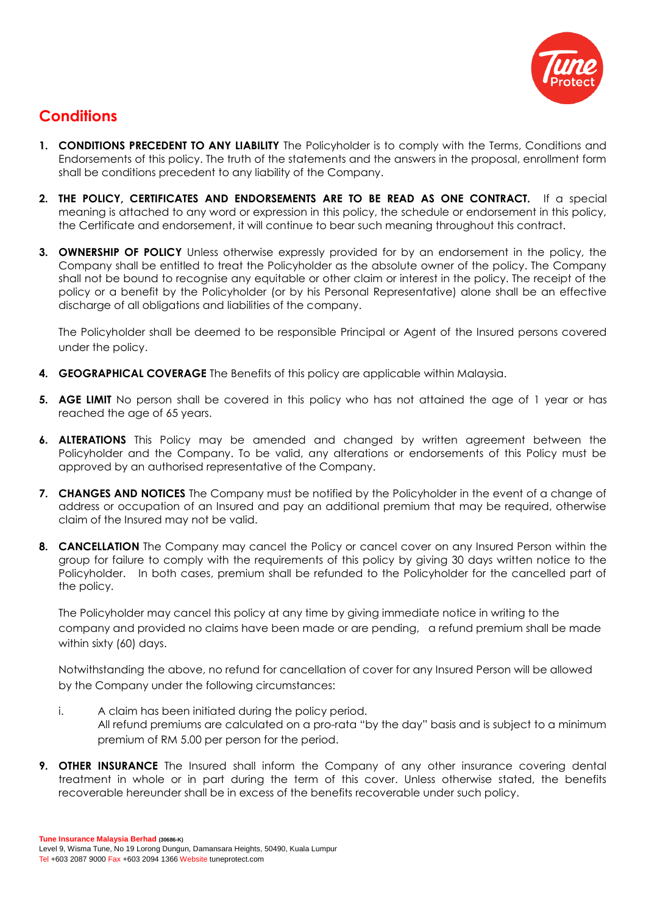

# **Conditions**

- **1. CONDITIONS PRECEDENT TO ANY LIABILITY** The Policyholder is to comply with the Terms, Conditions and Endorsements of this policy. The truth of the statements and the answers in the proposal, enrollment form shall be conditions precedent to any liability of the Company.
- **2. THE POLICY, CERTIFICATES AND ENDORSEMENTS ARE TO BE READ AS ONE CONTRACT.** If a special meaning is attached to any word or expression in this policy, the schedule or endorsement in this policy, the Certificate and endorsement, it will continue to bear such meaning throughout this contract.
- **3. OWNERSHIP OF POLICY** Unless otherwise expressly provided for by an endorsement in the policy, the Company shall be entitled to treat the Policyholder as the absolute owner of the policy. The Company shall not be bound to recognise any equitable or other claim or interest in the policy. The receipt of the policy or a benefit by the Policyholder (or by his Personal Representative) alone shall be an effective discharge of all obligations and liabilities of the company.

The Policyholder shall be deemed to be responsible Principal or Agent of the Insured persons covered under the policy.

- **4. GEOGRAPHICAL COVERAGE** The Benefits of this policy are applicable within Malaysia.
- **5. AGE LIMIT** No person shall be covered in this policy who has not attained the age of 1 year or has reached the age of 65 years.
- **6. ALTERATIONS** This Policy may be amended and changed by written agreement between the Policyholder and the Company. To be valid, any alterations or endorsements of this Policy must be approved by an authorised representative of the Company.
- **7. CHANGES AND NOTICES** The Company must be notified by the Policyholder in the event of a change of address or occupation of an Insured and pay an additional premium that may be required, otherwise claim of the Insured may not be valid.
- **8. CANCELLATION** The Company may cancel the Policy or cancel cover on any Insured Person within the group for failure to comply with the requirements of this policy by giving 30 days written notice to the Policyholder. In both cases, premium shall be refunded to the Policyholder for the cancelled part of the policy.

The Policyholder may cancel this policy at any time by giving immediate notice in writing to the company and provided no claims have been made or are pending, a refund premium shall be made within sixty (60) days.

Notwithstanding the above, no refund for cancellation of cover for any Insured Person will be allowed by the Company under the following circumstances:

- i. A claim has been initiated during the policy period. All refund premiums are calculated on a pro-rata "by the day" basis and is subject to a minimum premium of RM 5.00 per person for the period.
- **9. OTHER INSURANCE** The Insured shall inform the Company of any other insurance covering dental treatment in whole or in part during the term of this cover. Unless otherwise stated, the benefits recoverable hereunder shall be in excess of the benefits recoverable under such policy.

**Tune Insurance Malaysia Berhad (30686-K)** Level 9, Wisma Tune, No 19 Lorong Dungun, Damansara Heights, 50490, Kuala Lumpur Tel +603 2087 9000 Fax +603 2094 1366 Website tuneprotect.com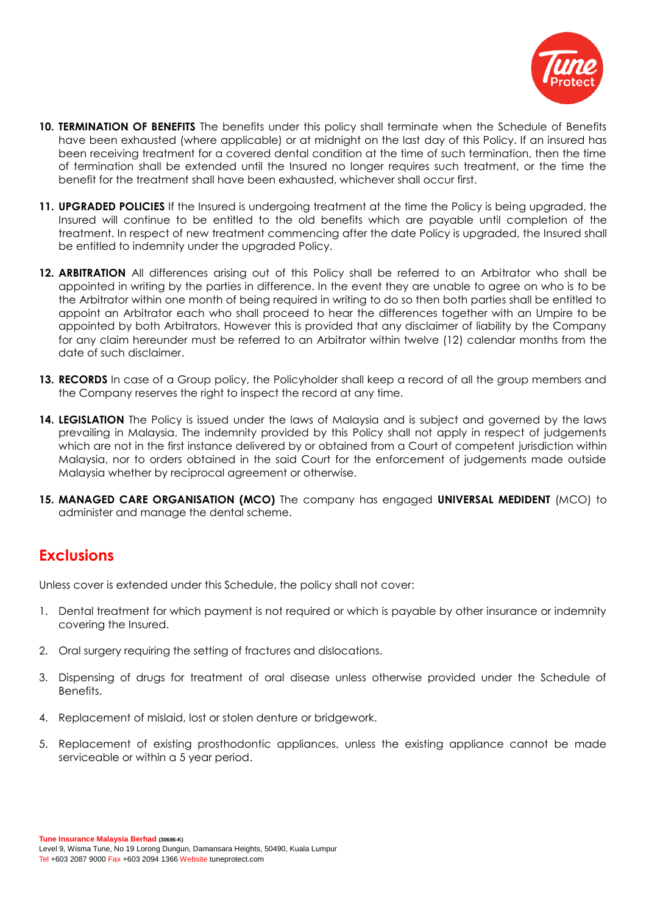

- **10. TERMINATION OF BENEFITS** The benefits under this policy shall terminate when the Schedule of Benefits have been exhausted (where applicable) or at midnight on the last day of this Policy. If an insured has been receiving treatment for a covered dental condition at the time of such termination, then the time of termination shall be extended until the Insured no longer requires such treatment, or the time the benefit for the treatment shall have been exhausted, whichever shall occur first.
- **11. UPGRADED POLICIES** If the Insured is undergoing treatment at the time the Policy is being upgraded, the Insured will continue to be entitled to the old benefits which are payable until completion of the treatment. In respect of new treatment commencing after the date Policy is upgraded, the Insured shall be entitled to indemnity under the upgraded Policy.
- **12. ARBITRATION** All differences arising out of this Policy shall be referred to an Arbitrator who shall be appointed in writing by the parties in difference. In the event they are unable to agree on who is to be the Arbitrator within one month of being required in writing to do so then both parties shall be entitled to appoint an Arbitrator each who shall proceed to hear the differences together with an Umpire to be appointed by both Arbitrators. However this is provided that any disclaimer of liability by the Company for any claim hereunder must be referred to an Arbitrator within twelve (12) calendar months from the date of such disclaimer.
- **13. RECORDS** In case of a Group policy, the Policyholder shall keep a record of all the group members and the Company reserves the right to inspect the record at any time.
- **14. LEGISLATION** The Policy is issued under the laws of Malaysia and is subject and governed by the laws prevailing in Malaysia. The indemnity provided by this Policy shall not apply in respect of judgements which are not in the first instance delivered by or obtained from a Court of competent jurisdiction within Malaysia, nor to orders obtained in the said Court for the enforcement of judgements made outside Malaysia whether by reciprocal agreement or otherwise.
- **15. MANAGED CARE ORGANISATION (MCO)** The company has engaged **UNIVERSAL MEDIDENT** (MCO) to administer and manage the dental scheme.

## **Exclusions**

Unless cover is extended under this Schedule, the policy shall not cover:

- 1. Dental treatment for which payment is not required or which is payable by other insurance or indemnity covering the Insured.
- 2. Oral surgery requiring the setting of fractures and dislocations.
- 3. Dispensing of drugs for treatment of oral disease unless otherwise provided under the Schedule of Benefits.
- 4. Replacement of mislaid, lost or stolen denture or bridgework.
- 5. Replacement of existing prosthodontic appliances, unless the existing appliance cannot be made serviceable or within a 5 year period.

**Tune Insurance Malaysia Berhad (30686-K)** Level 9, Wisma Tune, No 19 Lorong Dungun, Damansara Heights, 50490, Kuala Lumpur Tel +603 2087 9000 Fax +603 2094 1366 Website tuneprotect.com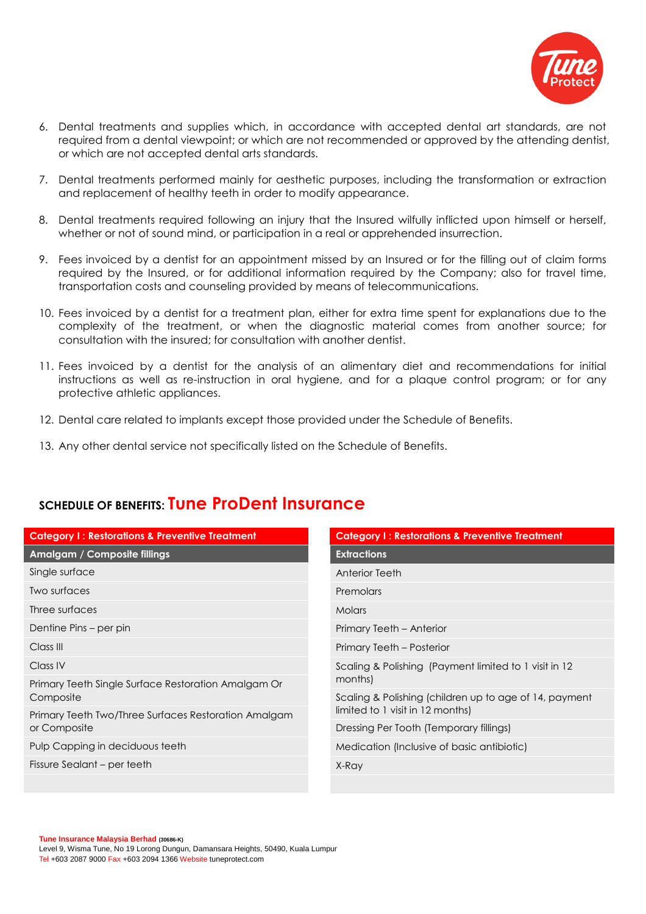

- 6. Dental treatments and supplies which, in accordance with accepted dental art standards, are not required from a dental viewpoint; or which are not recommended or approved by the attending dentist, or which are not accepted dental arts standards.
- 7. Dental treatments performed mainly for aesthetic purposes, including the transformation or extraction and replacement of healthy teeth in order to modify appearance.
- 8. Dental treatments required following an injury that the Insured wilfully inflicted upon himself or herself, whether or not of sound mind, or participation in a real or apprehended insurrection.
- 9. Fees invoiced by a dentist for an appointment missed by an Insured or for the filling out of claim forms required by the Insured, or for additional information required by the Company; also for travel time, transportation costs and counseling provided by means of telecommunications.
- 10. Fees invoiced by a dentist for a treatment plan, either for extra time spent for explanations due to the complexity of the treatment, or when the diagnostic material comes from another source; for consultation with the insured; for consultation with another dentist.
- 11. Fees invoiced by a dentist for the analysis of an alimentary diet and recommendations for initial instructions as well as re-instruction in oral hygiene, and for a plaque control program; or for any protective athletic appliances.
- 12. Dental care related to implants except those provided under the Schedule of Benefits.
- 13. Any other dental service not specifically listed on the Schedule of Benefits.

## **SCHEDULE OF BENEFITS: Tune ProDent Insurance**

| <b>Category I: Restorations &amp; Preventive Treatment</b>           | <b>Category I: Restorations &amp; Preventive Treatment</b>                                 |
|----------------------------------------------------------------------|--------------------------------------------------------------------------------------------|
| Amalgam / Composite fillings                                         | <b>Extractions</b>                                                                         |
| Single surface                                                       | <b>Anterior Teeth</b>                                                                      |
| Two surfaces                                                         | Premolars                                                                                  |
| Three surfaces                                                       | <b>Molars</b>                                                                              |
| Dentine Pins – per pin                                               | Primary Teeth - Anterior                                                                   |
| Class III                                                            | Primary Teeth - Posterior                                                                  |
| Class IV                                                             | Scaling & Polishing (Payment limited to 1 visit in 12<br>months)                           |
| Primary Teeth Single Surface Restoration Amalgam Or<br>Composite     |                                                                                            |
|                                                                      | Scaling & Polishing (children up to age of 14, payment<br>limited to 1 visit in 12 months) |
| Primary Teeth Two/Three Surfaces Restoration Amalgam<br>or Composite |                                                                                            |
|                                                                      | Dressing Per Tooth (Temporary fillings)                                                    |
| Pulp Capping in deciduous teeth                                      | Medication (Inclusive of basic antibiotic)                                                 |
| Fissure Sealant – per teeth                                          | X-Ray                                                                                      |
|                                                                      |                                                                                            |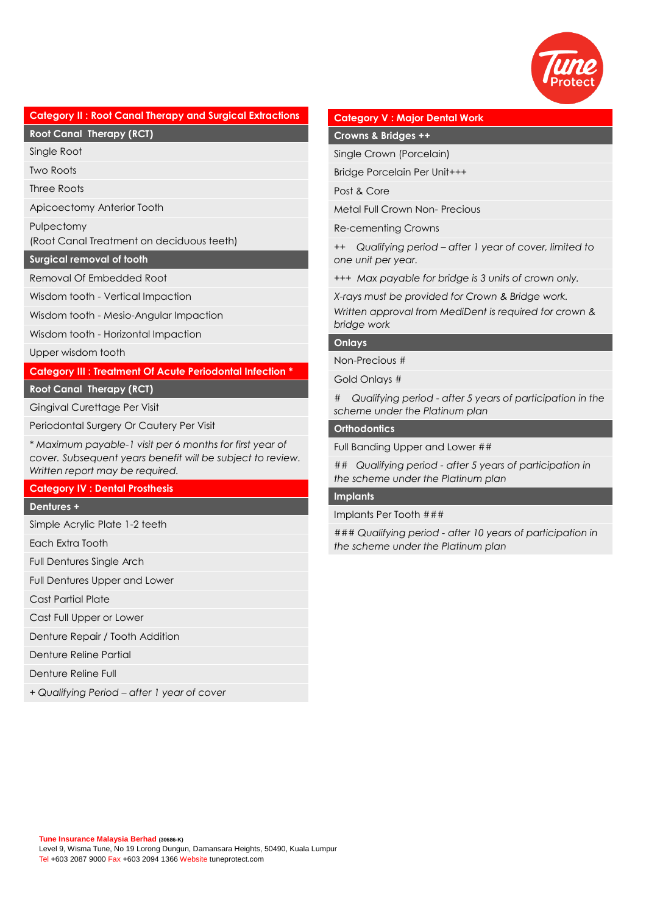

#### **Category II : Root Canal Therapy and Surgical Extractions**

**Root Canal Therapy (RCT)**

Single Root

Two Roots

Three Roots

Apicoectomy Anterior Tooth

Pulpectomy

(Root Canal Treatment on deciduous teeth)

**Surgical removal of tooth**

Removal Of Embedded Root

Wisdom tooth - Vertical Impaction

Wisdom tooth - Mesio-Angular Impaction

Wisdom tooth - Horizontal Impaction

Upper wisdom tooth

**Category III : Treatment Of Acute Periodontal Infection \***

#### **Root Canal Therapy (RCT)**

Gingival Curettage Per Visit

Periodontal Surgery Or Cautery Per Visit

*\* Maximum payable-1 visit per 6 months for first year of cover. Subsequent years benefit will be subject to review. Written report may be required.*

#### **Category IV : Dental Prosthesis**

#### **Dentures +**

Simple Acrylic Plate 1-2 teeth

Each Extra Tooth

Full Dentures Single Arch

Full Dentures Upper and Lower

Cast Partial Plate

Cast Full Upper or Lower

Denture Repair / Tooth Addition

Denture Reline Partial

Denture Reline Full

*+ Qualifying Period – after 1 year of cover*

#### **Category V : Major Dental Work**

**Crowns & Bridges ++**

Single Crown (Porcelain)

Bridge Porcelain Per Unit+++

Post & Core

Metal Full Crown Non- Precious

Re-cementing Crowns

*++ Qualifying period – after 1 year of cover, limited to one unit per year.*

*+++ Max payable for bridge is 3 units of crown only.* 

*X-rays must be provided for Crown & Bridge work.* 

*Written approval from MediDent is required for crown & bridge work*

#### **Onlays**

Non-Precious #

Gold Onlays #

*# Qualifying period - after 5 years of participation in the scheme under the Platinum plan* 

#### **Orthodontics**

Full Banding Upper and Lower ##

*## Qualifying period - after 5 years of participation in the scheme under the Platinum plan*

#### **Implants**

Implants Per Tooth ###

*### Qualifying period - after 10 years of participation in the scheme under the Platinum plan*